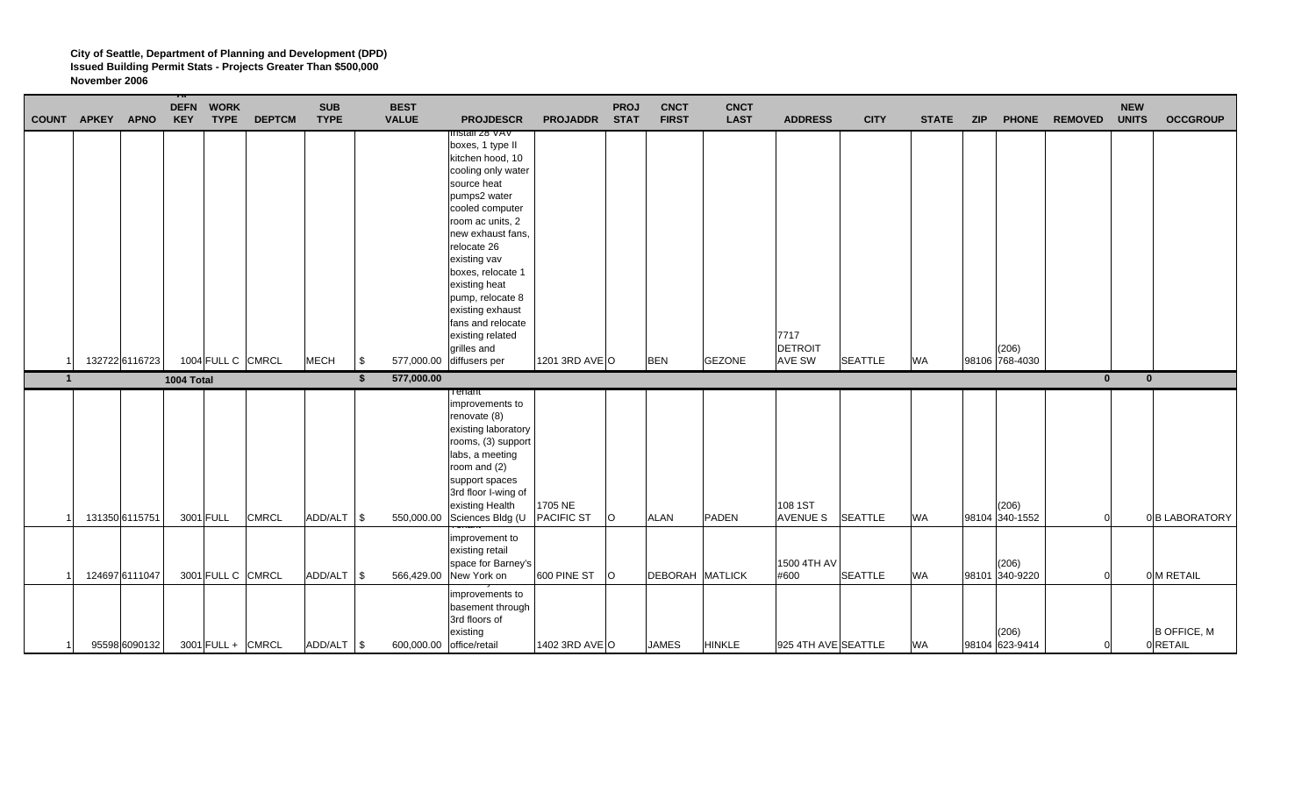| COUNT APKEY APNO |                | <b>DEFN WORK</b><br><b>KEY</b><br><b>TYPE</b> | <b>DEPTCM</b> | <b>SUB</b><br><b>TYPE</b> |            | <b>BEST</b><br><b>VALUE</b> | <b>PROJDESCR</b>                                                                                                                                                                                                                                                                                                                             | PROJADDR STAT                | <b>PROJ</b> | <b>CNCT</b><br><b>FIRST</b> | <b>CNCT</b><br><b>LAST</b> | <b>ADDRESS</b>             | <b>CITY</b>    | <b>STATE</b> | <b>ZIP</b> |                         | PHONE REMOVED | <b>NEW</b><br><b>UNITS</b> | <b>OCCGROUP</b> |
|------------------|----------------|-----------------------------------------------|---------------|---------------------------|------------|-----------------------------|----------------------------------------------------------------------------------------------------------------------------------------------------------------------------------------------------------------------------------------------------------------------------------------------------------------------------------------------|------------------------------|-------------|-----------------------------|----------------------------|----------------------------|----------------|--------------|------------|-------------------------|---------------|----------------------------|-----------------|
|                  |                |                                               |               |                           |            |                             | risiali zo vav<br>boxes, 1 type II<br>kitchen hood, 10<br>cooling only water<br>source heat<br>pumps2 water<br>cooled computer<br>room ac units, 2<br>new exhaust fans,<br>relocate 26<br>existing vav<br>boxes, relocate 1<br>existing heat<br>pump, relocate 8<br>existing exhaust<br>fans and relocate<br>existing related<br>grilles and |                              |             |                             |                            | 7717<br>DETROIT            |                |              |            | (206)                   |               |                            |                 |
|                  | 132722 6116723 | 1004 FULL C CMRCL                             |               | <b>MECH</b>               | $\sqrt{3}$ | 577,000.00                  | diffusers per                                                                                                                                                                                                                                                                                                                                | 1201 3RD AVE O               |             | <b>BEN</b>                  | <b>GEZONE</b>              | <b>AVE SW</b>              | <b>SEATTLE</b> | <b>WA</b>    |            | 98106 768-4030          |               |                            |                 |
| $\mathbf{1}$     |                |                                               |               |                           |            |                             |                                                                                                                                                                                                                                                                                                                                              |                              |             |                             |                            |                            |                |              |            |                         |               |                            |                 |
|                  |                | 1004 Total                                    |               |                           | \$         | 577,000.00                  |                                                                                                                                                                                                                                                                                                                                              |                              |             |                             |                            |                            |                |              |            |                         | $\mathbf{0}$  | $\mathbf{0}$               |                 |
|                  | 131350 6115751 | 3001 FULL                                     | <b>CMRCL</b>  | ADD/ALT \\$               |            | 550,000.00                  | renant<br>improvements to<br>renovate (8)<br>existing laboratory<br>rooms, (3) support<br>labs, a meeting<br>room and (2)<br>support spaces<br>3rd floor I-wing of<br>existing Health<br>Sciences Bldg (U                                                                                                                                    | 1705 NE<br><b>PACIFIC ST</b> | $\circ$     | <b>ALAN</b>                 | <b>PADEN</b>               | 108 1ST<br><b>AVENUE S</b> | <b>SEATTLE</b> | <b>WA</b>    |            | (206)<br>98104 340-1552 | $\Omega$      |                            | 0 B LABORATORY  |
|                  | 124697 6111047 | 3001 FULL C CMRCL                             |               | ADD/ALT \$                |            | 566,429.00                  | improvement to<br>existing retail<br>space for Barney's<br>New York on                                                                                                                                                                                                                                                                       | 600 PINE ST                  | $\circ$     | <b>DEBORAH MATLICK</b>      |                            | 1500 4TH AV<br>#600        | <b>SEATTLE</b> | <b>WA</b>    |            | (206)<br>98101 340-9220 | $\Omega$      |                            | 0 M RETAIL      |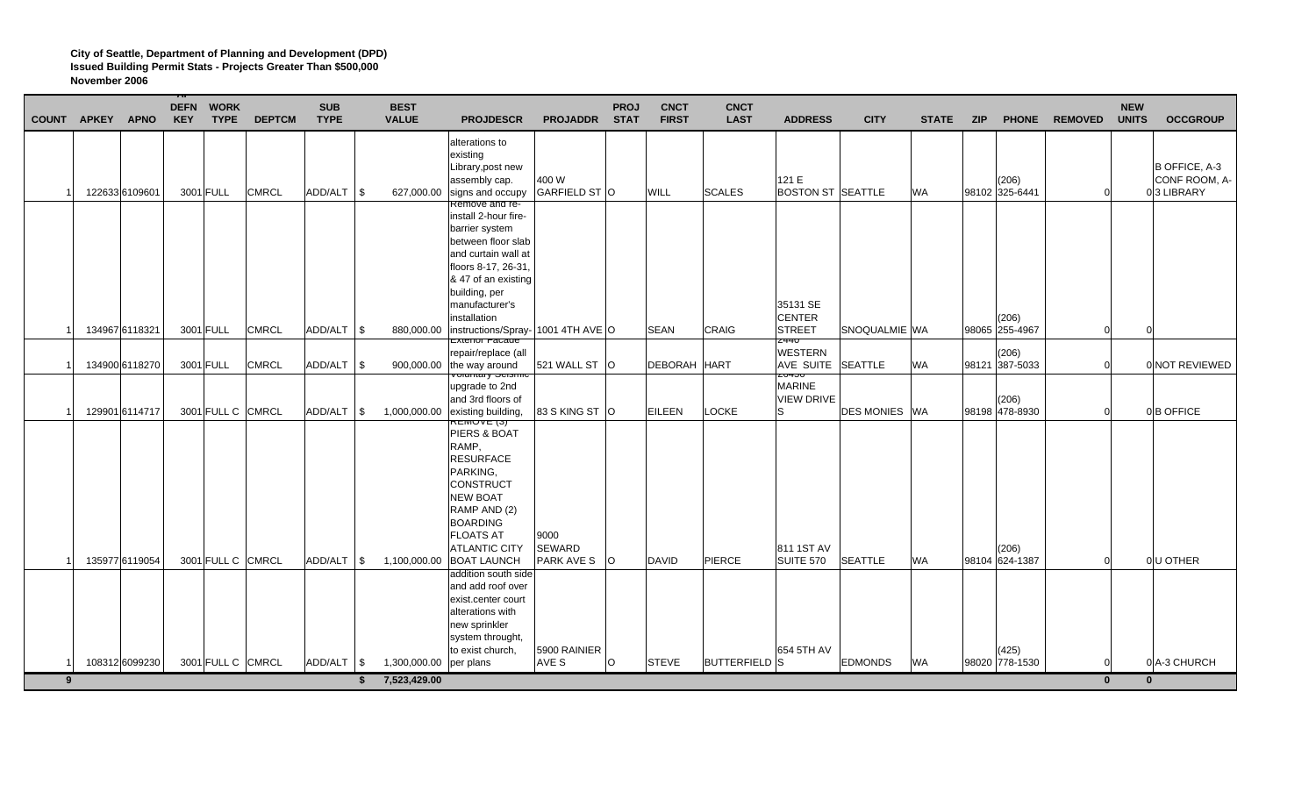|             | COUNT APKEY APNO |                | <b>KEY</b> | <b>DEFN WORK</b><br><b>TYPE</b> | <b>DEPTCM</b> | <b>SUB</b><br><b>TYPE</b> |            | <b>BEST</b><br><b>VALUE</b>  | <b>PROJDESCR</b>                                                                                                                                                                                         | <b>PROJADDR</b>                     | <b>PROJ</b><br><b>STAT</b> | <b>CNCT</b><br><b>FIRST</b> | <b>CNCT</b><br><b>LAST</b> | <b>ADDRESS</b>                                                           | <b>CITY</b>           | <b>STATE</b> | <b>ZIP</b> |                         | PHONE REMOVED        | <b>NEW</b><br><b>UNITS</b> | <b>OCCGROUP</b>                              |
|-------------|------------------|----------------|------------|---------------------------------|---------------|---------------------------|------------|------------------------------|----------------------------------------------------------------------------------------------------------------------------------------------------------------------------------------------------------|-------------------------------------|----------------------------|-----------------------------|----------------------------|--------------------------------------------------------------------------|-----------------------|--------------|------------|-------------------------|----------------------|----------------------------|----------------------------------------------|
|             |                  | 122633 6109601 |            | 3001 FULL                       | <b>CMRCL</b>  | ADD/ALT \\$               |            | 627,000.00                   | alterations to<br>existing<br>Library, post new<br>assembly cap.<br>signs and occupy                                                                                                                     | 400 W<br>GARFIELD ST O              |                            | WILL                        | <b>SCALES</b>              | 121 E<br><b>BOSTON ST SEATTLE</b>                                        |                       | <b>WA</b>    |            | (206)<br>98102 325-6441 |                      |                            | B OFFICE, A-3<br>CONF ROOM, A-<br>03 LIBRARY |
|             |                  |                |            |                                 |               |                           |            |                              | Remove and re-<br>install 2-hour fire-<br>barrier system<br>between floor slab<br>and curtain wall at<br>floors 8-17, 26-31.<br>& 47 of an existing<br>building, per                                     |                                     |                            |                             |                            |                                                                          |                       |              |            |                         |                      |                            |                                              |
|             |                  | 134967 6118321 |            | 3001 FULL                       | <b>CMRCL</b>  | ADD/ALT \\$               |            | 880,000.00                   | manufacturer's<br>installation<br>instructions/Spray- 1001 4TH AVE O                                                                                                                                     |                                     |                            | <b>SEAN</b>                 | <b>CRAIG</b>               | 35131 SE<br><b>CENTER</b><br><b>STREET</b>                               | SNOQUALMIE WA         |              |            | (206)<br>98065 255-4967 | $\Omega$             |                            |                                              |
|             |                  | 134900 6118270 |            | 3001 FULL                       | <b>CMRCL</b>  | ADD/ALT                   | $\sqrt{3}$ | 900,000.00                   | Exterior Facade<br>repair/replace (all<br>the way around<br><del>volumáry oelsmic</del>                                                                                                                  | 521 WALL ST O                       |                            | <b>DEBORAH HART</b>         |                            | <b>Z440</b><br><b>WESTERN</b><br>AVE SUITE SEATTLE<br>zo <del>4</del> oo |                       | <b>WA</b>    |            | (206)<br>98121 387-5033 |                      |                            | 0 NOT REVIEWED                               |
|             |                  | 129901 6114717 |            | 3001 FULL C CMRCL               |               | $ADD/ALT$ $\sqrt{S}$      |            | 1,000,000.00                 | upgrade to 2nd<br>and 3rd floors of<br>existing building,                                                                                                                                                | 83 S KING ST O                      |                            | <b>EILEEN</b>               | <b>LOCKE</b>               | <b>MARINE</b><br><b>VIEW DRIVE</b><br>'S                                 | <b>DES MONIES IWA</b> |              |            | (206)<br>98198 478-8930 | $\Omega$             |                            | 0B OFFICE                                    |
|             |                  | 135977 6119054 |            | 3001 FULL C CMRCL               |               | $ADD/ALT$ $\sqrt{S}$      |            | 1,100,000.00                 | REMUVE (3)<br>PIERS & BOAT<br>RAMP,<br><b>RESURFACE</b><br>PARKING,<br>CONSTRUCT<br><b>NEW BOAT</b><br>RAMP AND (2)<br><b>BOARDING</b><br><b>FLOATS AT</b><br><b>ATLANTIC CITY</b><br><b>BOAT LAUNCH</b> | 9000<br>SEWARD<br><b>PARK AVE S</b> | $\Omega$                   | DAVID                       | PIERCE                     | 811 1ST AV<br>SUITE 570                                                  | <b>SEATTLE</b>        | <b>WA</b>    |            | (206)<br>98104 624-1387 | $\Omega$             |                            | 0U OTHER                                     |
|             |                  |                |            |                                 |               |                           |            |                              | addition south side<br>and add roof over<br>exist.center court<br>alterations with<br>new sprinkler<br>system throught,                                                                                  |                                     |                            |                             |                            |                                                                          |                       |              |            |                         |                      |                            |                                              |
| $9^{\circ}$ |                  | 108312 6099230 |            | 3001 FULL C CMRCL               |               | ADD/ALT   \$              | \$         | 1,300,000.00<br>7,523,429.00 | to exist church,<br>per plans                                                                                                                                                                            | 5900 RAINIER<br>AVE S               | O                          | <b>STEVE</b>                | <b>BUTTERFIELD S</b>       | 654 5TH AV                                                               | <b>EDMONDS</b>        | <b>WA</b>    |            | (425)<br>98020 778-1530 | $\Omega$<br>$\bf{0}$ |                            | 0 A-3 CHURCH<br>$\mathbf{0}$                 |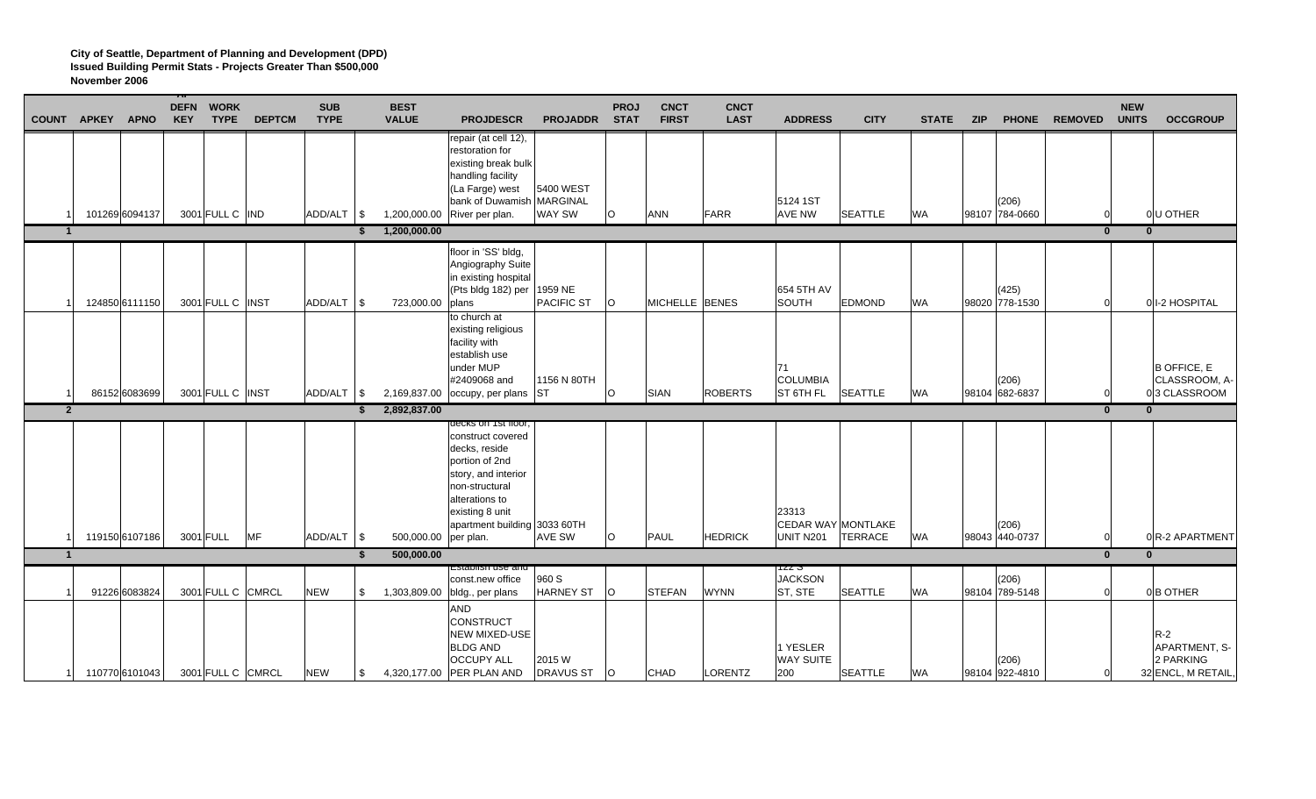|              | <b>COUNT APKEY</b> | <b>APNO</b>    | <b>DEFN</b><br><b>KEY</b> | <b>WORK</b><br><b>TYPE</b> | <b>DEPTCM</b> | <b>SUB</b><br><b>TYPE</b> |    | <b>BEST</b><br><b>VALUE</b> | <b>PROJDESCR</b>                                                                                                                                                                                      | <b>PROJADDR</b>              | <b>PROJ</b><br><b>STAT</b> | <b>CNCT</b><br><b>FIRST</b> | <b>CNCT</b><br><b>LAST</b> | <b>ADDRESS</b>                           | <b>CITY</b>    | <b>STATE</b> | <b>ZIP</b> | <b>PHONE</b>            | <b>REMOVED</b> | <b>NEW</b><br><b>UNITS</b> | <b>OCCGROUP</b>                                           |
|--------------|--------------------|----------------|---------------------------|----------------------------|---------------|---------------------------|----|-----------------------------|-------------------------------------------------------------------------------------------------------------------------------------------------------------------------------------------------------|------------------------------|----------------------------|-----------------------------|----------------------------|------------------------------------------|----------------|--------------|------------|-------------------------|----------------|----------------------------|-----------------------------------------------------------|
|              |                    | 101269 6094137 |                           | 3001 FULL C IND            |               | ADD/ALT \$                |    | 1,200,000.00                | repair (at cell 12),<br>restoration for<br>existing break bulk<br>handling facility<br>(La Farge) west<br>bank of Duwamish MARGINAL<br>River per plan.                                                | 5400 WEST<br><b>WAY SW</b>   | $\circ$                    | <b>ANN</b>                  | FARR                       | 5124 1ST<br>AVE NW                       | <b>SEATTLE</b> | WA           |            | (206)<br>98107 784-0660 | $\Omega$       |                            | 0U OTHER                                                  |
|              | $\mathbf{1}$       |                |                           |                            |               |                           | \$ | 1,200,000.00                |                                                                                                                                                                                                       |                              |                            |                             |                            |                                          |                |              |            |                         | $\bf{0}$       | $\mathbf{0}$               |                                                           |
|              |                    | 124850 6111150 |                           | 3001 FULL C INST           |               | ADD/ALT \\$               |    | 723,000.00                  | floor in 'SS' bldg,<br>Angiography Suite<br>in existing hospital<br>(Pts bldg 182) per<br>plans                                                                                                       | 1959 NE<br><b>PACIFIC ST</b> | $\circ$                    | <b>MICHELLE BENES</b>       |                            | 654 5TH AV<br>SOUTH                      | <b>EDMOND</b>  | <b>WA</b>    |            | (425)<br>98020 778-1530 | $\Omega$       |                            | 0 1-2 HOSPITAL                                            |
|              |                    | 86152 6083699  |                           | 3001 FULL C INST           |               | ADD/ALT   \$              |    |                             | to church at<br>existing religious<br>facility with<br>establish use<br>under MUP<br>#2409068 and<br>2,169,837.00 occupy, per plans ST                                                                | 1156 N 80TH                  | O                          | SIAN                        | <b>ROBERTS</b>             | 71<br><b>COLUMBIA</b><br>ST 6TH FL       | <b>SEATTLE</b> | <b>WA</b>    |            | (206)<br>98104 682-6837 | $\Omega$       |                            | <b>B OFFICE, E</b><br>CLASSROOM, A-<br>03 CLASSROOM       |
|              | $\overline{2}$     |                |                           |                            |               |                           | \$ | 2,892,837.00                |                                                                                                                                                                                                       |                              |                            |                             |                            |                                          |                |              |            |                         | $\mathbf{0}$   | $\mathbf{0}$               |                                                           |
|              |                    | 119150 6107186 |                           | 3001 FULL                  | <b>MF</b>     | ADD/ALT \\$               |    | 500,000.00                  | decks on Tst Hoor,<br>construct covered<br>decks, reside<br>portion of 2nd<br>story, and interior<br>non-structural<br>alterations to<br>existing 8 unit<br>apartment building 3033 60TH<br>per plan. | <b>AVE SW</b>                | $\Omega$                   | PAUL                        | <b>HEDRICK</b>             | 23313<br>CEDAR WAY MONTLAKE<br>UNIT N201 | TERRACE        | <b>WA</b>    |            | (206)<br>98043 440-0737 | $\Omega$       |                            | 0R-2 APARTMENT                                            |
| $\mathbf{1}$ |                    |                |                           |                            |               |                           | Ŝ. | 500,000.00                  |                                                                                                                                                                                                       |                              |                            |                             |                            |                                          |                |              |            |                         | $\overline{0}$ | $\overline{0}$             |                                                           |
|              |                    | 91226 6083824  |                           | 3001 FULL C CMRCL          |               | <b>NEW</b>                | \$ | 1,303,809.00                | :ડાabiisii use ari<br>const.new office<br>bldg., per plans                                                                                                                                            | 960 S<br><b>HARNEY ST</b>    | lO.                        | <b>STEFAN</b>               | <b>WYNN</b>                | IZZ J<br><b>JACKSON</b><br>ST, STE       | <b>SEATTLE</b> | <b>WA</b>    |            | (206)<br>98104 789-5148 | $\Omega$       |                            | 0B OTHER                                                  |
|              |                    | 110770 6101043 |                           | 3001 FULL C CMRCL          |               | <b>NEW</b>                | \$ |                             | <b>AND</b><br>CONSTRUCT<br><b>NEW MIXED-USE</b><br><b>BLDG AND</b><br><b>OCCUPY ALL</b><br>4,320,177.00 PER PLAN AND                                                                                  | 2015 W<br><b>DRAVUS ST</b>   | $\circ$                    | <b>CHAD</b>                 | LORENTZ                    | 1 YESLER<br><b>WAY SUITE</b><br>200      | <b>SEATTLE</b> | <b>WA</b>    |            | (206)<br>98104 922-4810 | $\Omega$       |                            | $R-2$<br>APARTMENT, S-<br>2 PARKING<br>32 ENCL, M RETAIL, |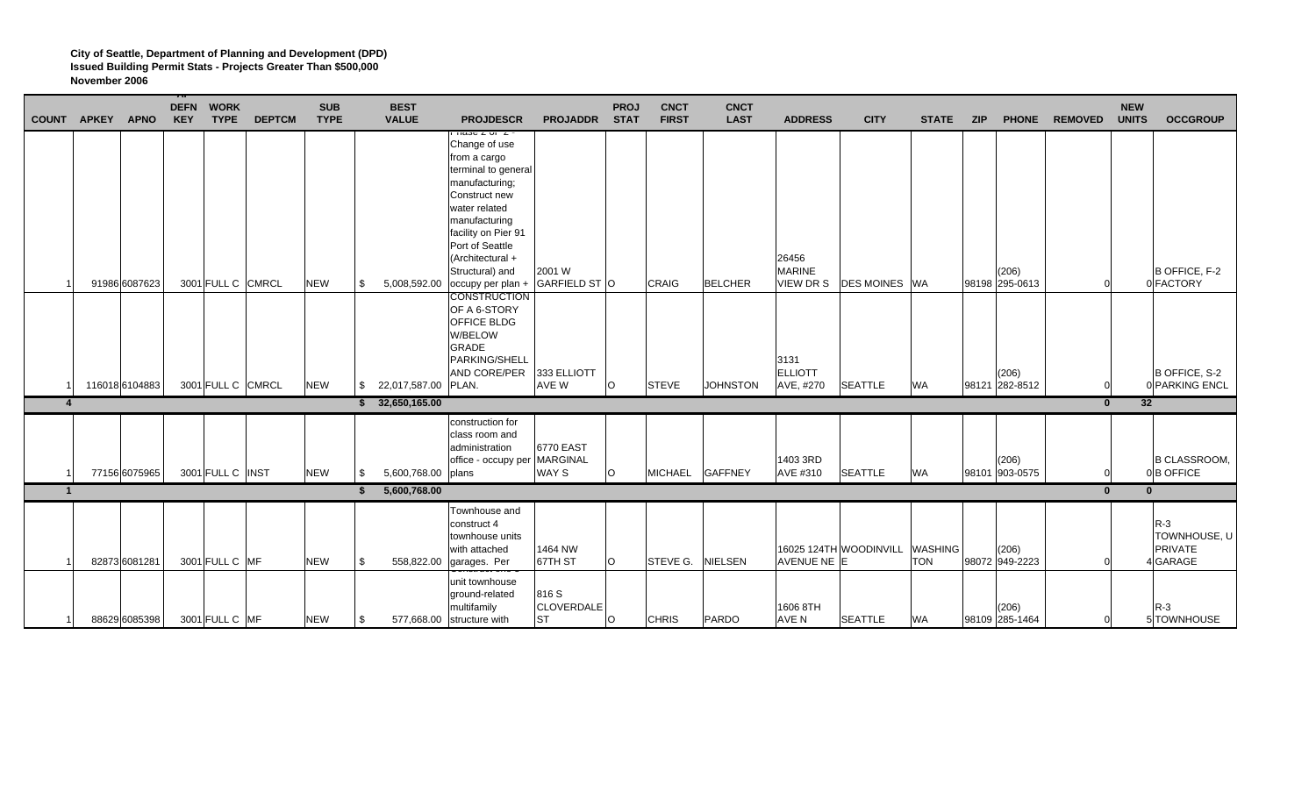|                  | <b>COUNT APKEY</b> | <b>APNO</b>   | <b>DEFN</b><br><b>KEY</b> | <b>WORK</b><br><b>TYPE</b> | <b>DEPTCM</b> | <b>SUB</b><br><b>TYPE</b> |     | <b>BEST</b><br><b>VALUE</b> | <b>PROJDESCR</b>                                                                                                                                                                                                                                                      | <b>PROJADDR</b>                         | <b>PROJ</b><br><b>STAT</b> | <b>CNCT</b><br><b>FIRST</b> | <b>CNCT</b><br><b>LAST</b> | <b>ADDRESS</b>                      | <b>CITY</b>            | <b>STATE</b>                 | <b>ZIP</b> |                         | PHONE REMOVED | <b>NEW</b><br><b>UNITS</b> | <b>OCCGROUP</b>                              |
|------------------|--------------------|---------------|---------------------------|----------------------------|---------------|---------------------------|-----|-----------------------------|-----------------------------------------------------------------------------------------------------------------------------------------------------------------------------------------------------------------------------------------------------------------------|-----------------------------------------|----------------------------|-----------------------------|----------------------------|-------------------------------------|------------------------|------------------------------|------------|-------------------------|---------------|----------------------------|----------------------------------------------|
|                  |                    | 91986 6087623 |                           | 3001 FULL C CMRCL          |               | <b>NEW</b>                | \$  | 5,008,592.00                | πασσ z στ z<br>Change of use<br>from a cargo<br>terminal to general<br>manufacturing;<br>Construct new<br>water related<br>manufacturing<br>facility on Pier 91<br>Port of Seattle<br>(Architectural +<br>Structural) and<br>occupy per plan +<br><b>CONSTRUCTION</b> | 2001 W<br>GARFIELD ST O                 |                            | <b>CRAIG</b>                | <b>BELCHER</b>             | 26456<br><b>MARINE</b><br>VIEW DR S | <b>DES MOINES</b> WA   |                              |            | (206)<br>98198 295-0613 | $\Omega$      |                            | B OFFICE, F-2<br>0 FACTORY                   |
|                  | 116018 6104883     |               |                           | 3001 FULL C CMRCL          |               | <b>NEW</b>                |     | \$ 22,017,587.00 PLAN.      | OF A 6-STORY<br>OFFICE BLDG<br>W/BELOW<br><b>GRADE</b><br>PARKING/SHELL<br>AND CORE/PER                                                                                                                                                                               | 333 ELLIOTT<br>AVE W                    | lO.                        | <b>STEVE</b>                | <b>JOHNSTON</b>            | 3131<br><b>ELLIOTT</b><br>AVE, #270 | <b>SEATTLE</b>         | <b>WA</b>                    |            | (206)<br>98121 282-8512 | $\Omega$      |                            | B OFFICE, S-2<br>0 PARKING ENCL              |
| $\boldsymbol{4}$ |                    |               |                           |                            |               |                           |     | \$32,650,165.00             |                                                                                                                                                                                                                                                                       |                                         |                            |                             |                            |                                     |                        |                              |            |                         | $\bf{0}$      | 32                         |                                              |
|                  |                    | 77156 6075965 |                           | 3001 FULL C INST           |               | <b>NEW</b>                | -S  | 5,600,768.00 plans          | construction for<br>class room and<br>administration<br>office - occupy per MARGINAL                                                                                                                                                                                  | 6770 EAST<br>WAY S                      | lO.                        | MICHAEL GAFFNEY             |                            | 1403 3RD<br>AVE #310                | <b>SEATTLE</b>         | <b>WA</b>                    |            | (206)<br>98101 903-0575 |               |                            | <b>B CLASSROOM,</b><br>0 <sup>B</sup> OFFICE |
| $\overline{1}$   |                    |               |                           |                            |               |                           |     | 5,600,768.00                |                                                                                                                                                                                                                                                                       |                                         |                            |                             |                            |                                     |                        |                              |            |                         | $\mathbf{0}$  | $\mathbf{0}$               |                                              |
|                  |                    | 82873 6081281 |                           | 3001 FULL C MF             |               | <b>NEW</b>                | \$  | 558,822.00                  | Townhouse and<br>construct 4<br>townhouse units<br>with attached<br>garages. Per<br><del>วันแม้แนบเ นแบ บ</del>                                                                                                                                                       | 1464 NW<br>67TH ST                      | lo                         | STEVE G. NIELSEN            |                            | AVENUE NE E                         | 16025 124TH WOODINVILL | <b>WASHING</b><br><b>TON</b> |            | (206)<br>98072 949-2223 | $\Omega$      |                            | $R-3$<br>TOWNHOUSE, U<br>PRIVATE<br>4 GARAGE |
|                  |                    | 88629 6085398 |                           | 3001 FULL C MF             |               | <b>NEW</b>                | -\$ | 577,668.00                  | unit townhouse<br>ground-related<br>multifamily<br>structure with                                                                                                                                                                                                     | 816 S<br><b>CLOVERDALE</b><br><b>ST</b> | lo                         | <b>CHRIS</b>                | PARDO                      | 1606 8TH<br><b>AVE N</b>            | <b>SEATTLE</b>         | <b>WA</b>                    |            | (206)<br>98109 285-1464 | $\Omega$      |                            | R-3<br>5 TOWNHOUSE                           |